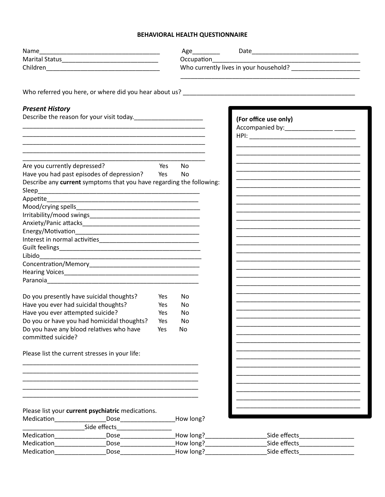### BEHAVIORAL HEALTH QUESTIONNAIRE

| Name                                                  |                                                                                                                                                                                                                                    |     | Age__________                 |                                                                                                                                                                                                                               |  |
|-------------------------------------------------------|------------------------------------------------------------------------------------------------------------------------------------------------------------------------------------------------------------------------------------|-----|-------------------------------|-------------------------------------------------------------------------------------------------------------------------------------------------------------------------------------------------------------------------------|--|
|                                                       |                                                                                                                                                                                                                                    |     | Occupation<br><u>December</u> | the control of the control of the control of the control of the control of the control of                                                                                                                                     |  |
|                                                       |                                                                                                                                                                                                                                    |     |                               |                                                                                                                                                                                                                               |  |
|                                                       |                                                                                                                                                                                                                                    |     |                               |                                                                                                                                                                                                                               |  |
|                                                       |                                                                                                                                                                                                                                    |     |                               |                                                                                                                                                                                                                               |  |
| <b>Present History</b>                                |                                                                                                                                                                                                                                    |     |                               |                                                                                                                                                                                                                               |  |
|                                                       |                                                                                                                                                                                                                                    |     |                               | (For office use only)                                                                                                                                                                                                         |  |
|                                                       |                                                                                                                                                                                                                                    |     |                               |                                                                                                                                                                                                                               |  |
|                                                       |                                                                                                                                                                                                                                    |     |                               |                                                                                                                                                                                                                               |  |
|                                                       |                                                                                                                                                                                                                                    |     |                               |                                                                                                                                                                                                                               |  |
|                                                       | <u> 1989 - Johann John Stoff, deutscher Stoffen und der Stoffen und der Stoffen und der Stoffen und der Stoffen u</u>                                                                                                              |     |                               |                                                                                                                                                                                                                               |  |
| Are you currently depressed?                          |                                                                                                                                                                                                                                    | Yes | No                            |                                                                                                                                                                                                                               |  |
|                                                       | Have you had past episodes of depression? Yes                                                                                                                                                                                      |     | No                            |                                                                                                                                                                                                                               |  |
|                                                       | Describe any current symptoms that you have regarding the following:                                                                                                                                                               |     |                               |                                                                                                                                                                                                                               |  |
| Sleep                                                 |                                                                                                                                                                                                                                    |     |                               |                                                                                                                                                                                                                               |  |
|                                                       |                                                                                                                                                                                                                                    |     |                               | the control of the control of the control of the control of the control of the control of the control of the control of the control of the control of the control of the control of the control of the control of the control |  |
|                                                       |                                                                                                                                                                                                                                    |     |                               | <u> 1989 - Johann John Stoff, deutscher Stoffen und der Stoffen und der Stoffen und der Stoffen und der Stoffen u</u>                                                                                                         |  |
|                                                       |                                                                                                                                                                                                                                    |     |                               |                                                                                                                                                                                                                               |  |
|                                                       |                                                                                                                                                                                                                                    |     |                               |                                                                                                                                                                                                                               |  |
|                                                       |                                                                                                                                                                                                                                    |     |                               |                                                                                                                                                                                                                               |  |
|                                                       |                                                                                                                                                                                                                                    |     |                               |                                                                                                                                                                                                                               |  |
|                                                       |                                                                                                                                                                                                                                    |     |                               |                                                                                                                                                                                                                               |  |
|                                                       |                                                                                                                                                                                                                                    |     |                               |                                                                                                                                                                                                                               |  |
|                                                       |                                                                                                                                                                                                                                    |     |                               |                                                                                                                                                                                                                               |  |
|                                                       |                                                                                                                                                                                                                                    |     |                               |                                                                                                                                                                                                                               |  |
|                                                       |                                                                                                                                                                                                                                    |     |                               |                                                                                                                                                                                                                               |  |
|                                                       |                                                                                                                                                                                                                                    |     |                               | <u> 1989 - Johann John Stein, markin fan it ferskearre fan it ferskearre fan it ferskearre fan it ferskearre fan </u>                                                                                                         |  |
|                                                       | Do you presently have suicidal thoughts?                                                                                                                                                                                           | Yes | <b>No</b>                     |                                                                                                                                                                                                                               |  |
| Have you ever had suicidal thoughts?                  |                                                                                                                                                                                                                                    | Yes | <b>No</b>                     |                                                                                                                                                                                                                               |  |
| Have you ever attempted suicide?                      |                                                                                                                                                                                                                                    | Yes | No                            | <u> 1989 - Johann John Stone, markin film yn y brening yn y brening yn y brening yn y brening yn y brening yn y b</u>                                                                                                         |  |
|                                                       | Do you or have you had homicidal thoughts?                                                                                                                                                                                         | Yes | No.                           |                                                                                                                                                                                                                               |  |
|                                                       | Do you have any blood relatives who have                                                                                                                                                                                           | Yes | No                            |                                                                                                                                                                                                                               |  |
| committed suicide?                                    |                                                                                                                                                                                                                                    |     |                               |                                                                                                                                                                                                                               |  |
|                                                       |                                                                                                                                                                                                                                    |     |                               |                                                                                                                                                                                                                               |  |
|                                                       | Please list the current stresses in your life:                                                                                                                                                                                     |     |                               |                                                                                                                                                                                                                               |  |
|                                                       |                                                                                                                                                                                                                                    |     |                               |                                                                                                                                                                                                                               |  |
|                                                       |                                                                                                                                                                                                                                    |     |                               |                                                                                                                                                                                                                               |  |
|                                                       |                                                                                                                                                                                                                                    |     |                               |                                                                                                                                                                                                                               |  |
|                                                       |                                                                                                                                                                                                                                    |     |                               |                                                                                                                                                                                                                               |  |
|                                                       |                                                                                                                                                                                                                                    |     |                               |                                                                                                                                                                                                                               |  |
|                                                       | Please list your current psychiatric medications.                                                                                                                                                                                  |     |                               |                                                                                                                                                                                                                               |  |
| Medication<br><u>________________________________</u> |                                                                                                                                                                                                                                    |     | How long?                     |                                                                                                                                                                                                                               |  |
|                                                       | <u>Side effects</u>                                                                                                                                                                                                                |     |                               |                                                                                                                                                                                                                               |  |
|                                                       |                                                                                                                                                                                                                                    |     |                               | How long?___________________                                                                                                                                                                                                  |  |
| Medication___________________                         | <b>Dose Contract Contract Contract Contract Contract Contract Contract Contract Contract Contract Contract Contract Contract Contract Contract Contract Contract Contract Contract Contract Contract Contract Contract Contrac</b> |     |                               | How long?<br>Side effects <b>Side Allengers Side Allengers Side Allengers</b>                                                                                                                                                 |  |
| Medication                                            | Dose and the contract of the contract of the contract of the contract of the contract of the contract of the contract of the contract of the contract of the contract of the contract of the contract of the contract of the c     |     |                               | How long?____________________<br>Side effects <b>Side Allengers Side Allengers</b>                                                                                                                                            |  |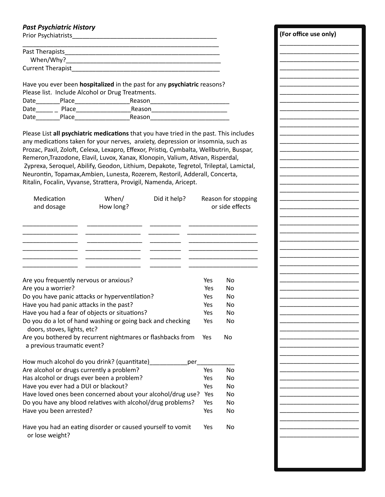## **Past Psychiatric History**

Prior Psychiatrists **Action** Prior Psychiatrists

| Past Therapists          |  |
|--------------------------|--|
| When/Why?                |  |
| <b>Current Therapist</b> |  |

Have you ever been hospitalized in the past for any psychiatric reasons? Please list. Include Alcohol or Drug Treatments. Date Place Reason

Please List all psychiatric medications that you have tried in the past. This includes any medications taken for your nerves, anxiety, depression or insomnia, such as Prozac, Paxil, Zoloft, Celexa, Lexapro, Effexor, Pristiq, Cymbalta, Wellbutrin, Buspar, Remeron, Trazodone, Elavil, Luvox, Xanax, Klonopin, Valium, Ativan, Risperdal, Zyprexa, Seroquel, Abilify, Geodon, Lithium, Depakote, Tegretol, Trileptal, Lamictal, Neurontin, Topamax, Ambien, Lunesta, Rozerem, Restoril, Adderall, Concerta, Ritalin, Focalin, Vyvanse, Strattera, Provigil, Namenda, Aricept.

| Medication<br>and dosage                                                                   | When/<br>How long? | Did it help? |           | Reason for stopping<br>or side effects |
|--------------------------------------------------------------------------------------------|--------------------|--------------|-----------|----------------------------------------|
| Are you frequently nervous or anxious?                                                     |                    |              | Yes       | N <sub>O</sub>                         |
| Are you a worrier?                                                                         |                    |              | Yes       | No                                     |
| Do you have panic attacks or hyperventilation?                                             |                    | Yes          | <b>No</b> |                                        |
| Have you had panic attacks in the past?                                                    |                    |              | Yes       | No                                     |
| Have you had a fear of objects or situations?                                              |                    |              | Yes       | <b>No</b>                              |
| Do you do a lot of hand washing or going back and checking<br>doors, stoves, lights, etc?  |                    |              | Yes       | No                                     |
| Are you bothered by recurrent nightmares or flashbacks from<br>a previous traumatic event? |                    |              | Yes       | No                                     |
| How much alcohol do you drink? (quantitate)                                                |                    | per          |           |                                        |
| Are alcohol or drugs currently a problem?                                                  |                    |              | Yes       | <b>No</b>                              |
| Has alcohol or drugs ever been a problem?                                                  |                    | Yes          | <b>No</b> |                                        |
| Have you ever had a DUI or blackout?                                                       | Yes                | <b>No</b>    |           |                                        |
| Have loved ones been concerned about your alcohol/drug use?                                | Yes<br>Yes         | No           |           |                                        |
| Do you have any blood relatives with alcohol/drug problems?                                |                    |              |           | N <sub>O</sub>                         |
| Have you been arrested?                                                                    |                    |              | Yes       | No                                     |
| Have you had an eating disorder or caused yourself to vomit<br>or lose weight?             |                    |              | Yes       | <b>No</b>                              |

(For office use only)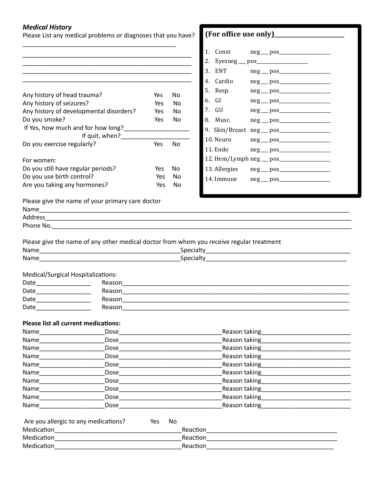#### **Medical History**

Please List any medical problems or diagnoses that you have? 

|                                                                                                                 |                                                  |     |                | 2. Eyesneg ___ pos___________________                                                                                                                                                                                          |
|-----------------------------------------------------------------------------------------------------------------|--------------------------------------------------|-----|----------------|--------------------------------------------------------------------------------------------------------------------------------------------------------------------------------------------------------------------------------|
|                                                                                                                 |                                                  |     |                | 3. ENT                                                                                                                                                                                                                         |
|                                                                                                                 |                                                  |     |                | 4. Cardio                                                                                                                                                                                                                      |
|                                                                                                                 |                                                  |     |                | 5. Resp.                                                                                                                                                                                                                       |
| Any history of head trauma?                                                                                     |                                                  | Yes | N <sub>o</sub> | 6. GI                                                                                                                                                                                                                          |
| Any history of seizures?                                                                                        |                                                  | Yes | No             | 7. GU                                                                                                                                                                                                                          |
|                                                                                                                 | Any history of developmental disorders?          | Yes | No             |                                                                                                                                                                                                                                |
| Do you smoke?                                                                                                   |                                                  | Yes | No             | 8. Musc.                                                                                                                                                                                                                       |
|                                                                                                                 |                                                  |     |                |                                                                                                                                                                                                                                |
|                                                                                                                 | If quit, when?                                   |     |                | 10. Neuro                                                                                                                                                                                                                      |
| Do you exercise regularly?                                                                                      |                                                  | Yes | N <sub>0</sub> | 11. Endo<br>$neg \_\ pos$                                                                                                                                                                                                      |
| For women:                                                                                                      |                                                  |     |                |                                                                                                                                                                                                                                |
| Do you still have regular periods?                                                                              |                                                  | Yes | No             | 13. Allergies                                                                                                                                                                                                                  |
| Do you use birth control?                                                                                       |                                                  | Yes | No             |                                                                                                                                                                                                                                |
| Are you taking any hormones?                                                                                    |                                                  | Yes | No.            |                                                                                                                                                                                                                                |
|                                                                                                                 |                                                  |     |                |                                                                                                                                                                                                                                |
|                                                                                                                 | Please give the name of your primary care doctor |     |                |                                                                                                                                                                                                                                |
|                                                                                                                 |                                                  |     |                |                                                                                                                                                                                                                                |
|                                                                                                                 |                                                  |     |                |                                                                                                                                                                                                                                |
|                                                                                                                 |                                                  |     |                |                                                                                                                                                                                                                                |
|                                                                                                                 |                                                  |     |                | Please give the name of any other medical doctor from whom you receive regular treatment                                                                                                                                       |
|                                                                                                                 |                                                  |     |                |                                                                                                                                                                                                                                |
| Medical/Surgical Hospitalizations:                                                                              |                                                  |     |                |                                                                                                                                                                                                                                |
| Date_____________________                                                                                       |                                                  |     |                |                                                                                                                                                                                                                                |
|                                                                                                                 |                                                  |     |                |                                                                                                                                                                                                                                |
| Date______________________                                                                                      |                                                  |     |                | Reason experience and the contract of the contract of the contract of the contract of the contract of the contract of the contract of the contract of the contract of the contract of the contract of the contract of the cont |
| Date____________________                                                                                        |                                                  |     |                |                                                                                                                                                                                                                                |
|                                                                                                                 |                                                  |     |                |                                                                                                                                                                                                                                |
| <b>Please list all current medications:</b>                                                                     |                                                  |     |                |                                                                                                                                                                                                                                |
|                                                                                                                 | Dose                                             |     |                | Reason taking                                                                                                                                                                                                                  |
| Name                                                                                                            | Dose                                             |     |                | Reason taking                                                                                                                                                                                                                  |
|                                                                                                                 | <b>Dose</b>                                      |     |                | Reason taking____________                                                                                                                                                                                                      |
|                                                                                                                 | Dose                                             |     |                | Reason taking                                                                                                                                                                                                                  |
| Name_                                                                                                           | Dose                                             |     |                | Reason taking <b>Exercises</b>                                                                                                                                                                                                 |
|                                                                                                                 | Dose___________________                          |     |                | Reason taking <b>Exercises</b>                                                                                                                                                                                                 |
| Name and the state of the state of the state of the state of the state of the state of the state of the state o | Dose                                             |     |                | Reason taking                                                                                                                                                                                                                  |
| Name____________                                                                                                | Dose                                             |     |                | Reason taking                                                                                                                                                                                                                  |
| <b>Name</b>                                                                                                     | <b>Dose</b>                                      |     |                | Reason taking <b>Example</b>                                                                                                                                                                                                   |
| Name___________                                                                                                 | Dose                                             |     |                | Reason taking                                                                                                                                                                                                                  |

| Are you allergic to any medications? | Yes | No. |          |
|--------------------------------------|-----|-----|----------|
| Medication                           |     |     | Reaction |
| Medication                           |     |     | Reaction |
| Medication                           |     |     | Reaction |

|                                            | 1. Const | neg __ pos____________________ |  |  |
|--------------------------------------------|----------|--------------------------------|--|--|
|                                            |          |                                |  |  |
|                                            | 3. ENT   |                                |  |  |
|                                            |          |                                |  |  |
|                                            | 5. Resp. | neg __ pos___________________  |  |  |
|                                            | 6. GI    |                                |  |  |
|                                            | 7. GU    |                                |  |  |
|                                            |          |                                |  |  |
|                                            |          |                                |  |  |
|                                            |          |                                |  |  |
|                                            | 11. Endo |                                |  |  |
| 12. Hem/Lymph neg __ pos__________________ |          |                                |  |  |
|                                            |          |                                |  |  |
|                                            |          |                                |  |  |
|                                            |          |                                |  |  |